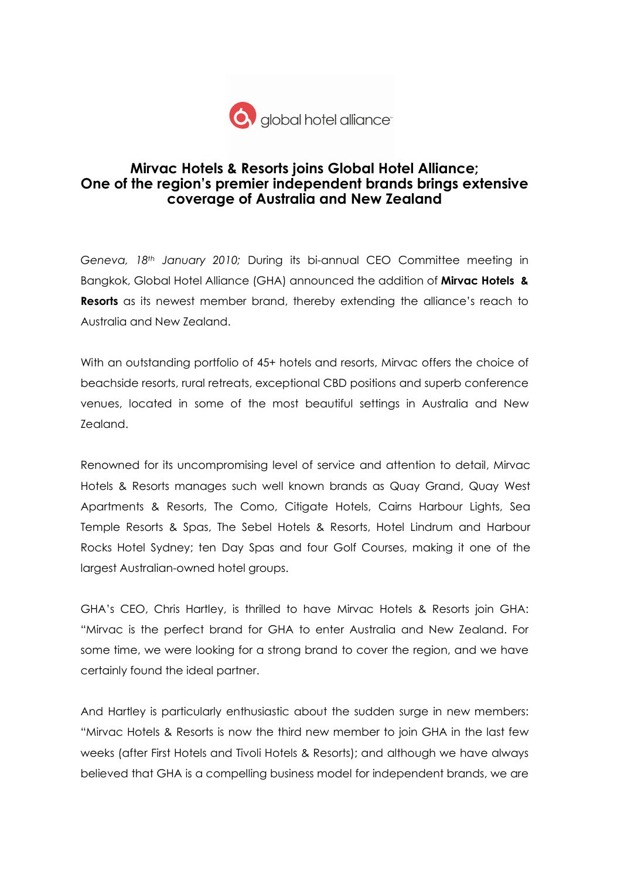

## Mirvac Hotels & Resorts joins Global Hotel Alliance; One of the region's premier independent brands brings extensive coverage of Australia and New Zealand

Geneva,  $18<sup>th</sup>$  January 2010; During its bi-annual CEO Committee meeting in Bangkok, Global Hotel Alliance (GHA) announced the addition of Mirvac Hotels & **Resorts** as its newest member brand, thereby extending the alliance's reach to Australia and New Zealand.

With an outstanding portfolio of 45+ hotels and resorts, Mirvac offers the choice of beachside resorts, rural retreats, exceptional CBD positions and superb conference venues, located in some of the most beautiful settings in Australia and New Zealand.

Renowned for its uncompromising level of service and attention to detail, Mirvac Hotels & Resorts manages such well known brands as Quay Grand, Quay West Apartments & Resorts, The Como, Citigate Hotels, Cairns Harbour Lights, Sea Temple Resorts & Spas, The Sebel Hotels & Resorts, Hotel Lindrum and Harbour Rocks Hotel Sydney; ten Day Spas and four Golf Courses, making it one of the largest Australian-owned hotel groups.

GHA's CEO, Chris Hartley, is thrilled to have Mirvac Hotels & Resorts join GHA: "Mirvac is the perfect brand for GHA to enter Australia and New Zealand. For some time, we were looking for a strong brand to cover the region, and we have certainly found the ideal partner.

And Hartley is particularly enthusiastic about the sudden surge in new members: "Mirvac Hotels & Resorts is now the third new member to join GHA in the last few weeks (after First Hotels and Tivoli Hotels & Resorts); and although we have always believed that GHA is a compelling business model for independent brands, we are